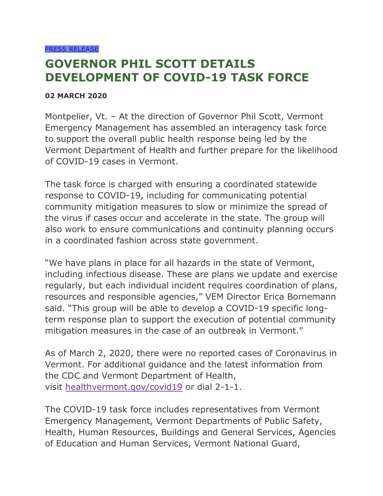## **GOVERNOR PHIL SCOTT DETAILS DEVELOPMENT OF COVID-19 TASK FORCE**

## **02 MARCH 2020**

Montpelier, Vt. – At the direction of Governor Phil Scott, Vermont Emergency Management has assembled an interagency task force to support the overall public health response being led by the Vermont Department of Health and further prepare for the likelihood of COVID-19 cases in Vermont.

The task force is charged with ensuring a coordinated statewide response to COVID-19, including for communicating potential community mitigation measures to slow or minimize the spread of the virus if cases occur and accelerate in the state. The group will also work to ensure communications and continuity planning occurs in a coordinated fashion across state government.

"We have plans in place for all hazards in the state of Vermont, including infectious disease. These are plans we update and exercise regularly, but each individual incident requires coordination of plans, resources and responsible agencies," VEM Director Erica Bornemann said. "This group will be able to develop a COVID-19 specific longterm response plan to support the execution of potential community mitigation measures in the case of an outbreak in Vermont."

As of March 2, 2020, there were no reported cases of Coronavirus in Vermont. For additional guidance and the latest information from the CDC and Vermont Department of Health, visit [healthvermont.gov/covid19](http://healthvermont.gov/covid19) or dial 2-1-1.

The COVID-19 task force includes representatives from Vermont Emergency Management, Vermont Departments of Public Safety, Health, Human Resources, Buildings and General Services, Agencies of Education and Human Services, Vermont National Guard,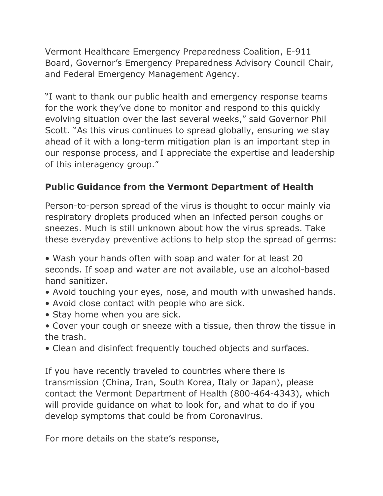Vermont Healthcare Emergency Preparedness Coalition, E-911 Board, Governor's Emergency Preparedness Advisory Council Chair, and Federal Emergency Management Agency.

"I want to thank our public health and emergency response teams for the work they've done to monitor and respond to this quickly evolving situation over the last several weeks," said Governor Phil Scott. "As this virus continues to spread globally, ensuring we stay ahead of it with a long-term mitigation plan is an important step in our response process, and I appreciate the expertise and leadership of this interagency group."

## **Public Guidance from the Vermont Department of Health**

Person-to-person spread of the virus is thought to occur mainly via respiratory droplets produced when an infected person coughs or sneezes. Much is still unknown about how the virus spreads. Take these everyday preventive actions to help stop the spread of germs:

• Wash your hands often with soap and water for at least 20 seconds. If soap and water are not available, use an alcohol-based hand sanitizer.

- Avoid touching your eyes, nose, and mouth with unwashed hands.
- Avoid close contact with people who are sick.
- Stay home when you are sick.
- Cover your cough or sneeze with a tissue, then throw the tissue in the trash.
- Clean and disinfect frequently touched objects and surfaces.

If you have recently traveled to countries where there is transmission (China, Iran, South Korea, Italy or Japan), please contact the Vermont Department of Health (800-464-4343), which will provide guidance on what to look for, and what to do if you develop symptoms that could be from Coronavirus.

For more details on the state's response,